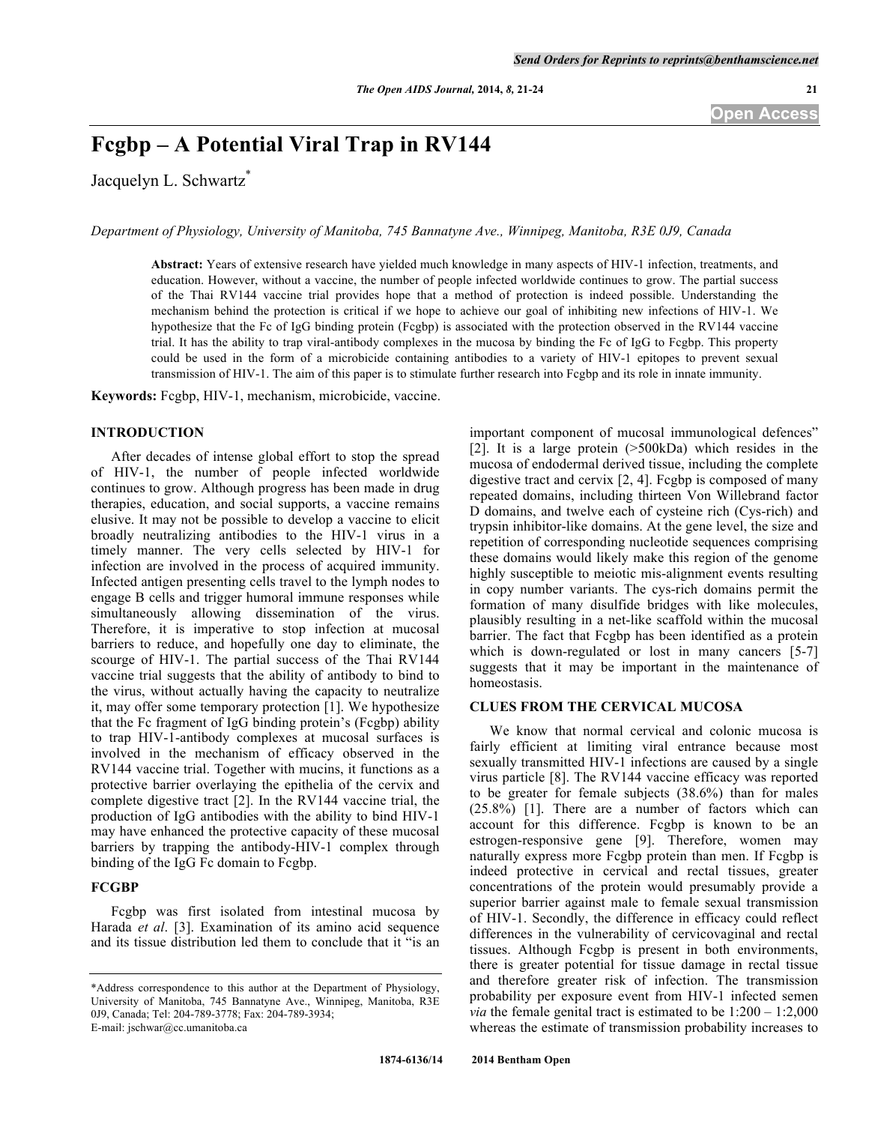# **Fcgbp – A Potential Viral Trap in RV144**

Jacquelyn L. Schwartz<sup>\*</sup>

*Department of Physiology, University of Manitoba, 745 Bannatyne Ave., Winnipeg, Manitoba, R3E 0J9, Canada*

**Abstract:** Years of extensive research have yielded much knowledge in many aspects of HIV-1 infection, treatments, and education. However, without a vaccine, the number of people infected worldwide continues to grow. The partial success of the Thai RV144 vaccine trial provides hope that a method of protection is indeed possible. Understanding the mechanism behind the protection is critical if we hope to achieve our goal of inhibiting new infections of HIV-1. We hypothesize that the Fc of IgG binding protein (Fcgbp) is associated with the protection observed in the RV144 vaccine trial. It has the ability to trap viral-antibody complexes in the mucosa by binding the Fc of IgG to Fcgbp. This property could be used in the form of a microbicide containing antibodies to a variety of HIV-1 epitopes to prevent sexual transmission of HIV-1. The aim of this paper is to stimulate further research into Fcgbp and its role in innate immunity.

**Keywords:** Fcgbp, HIV-1, mechanism, microbicide, vaccine.

# **INTRODUCTION**

After decades of intense global effort to stop the spread of HIV-1, the number of people infected worldwide continues to grow. Although progress has been made in drug therapies, education, and social supports, a vaccine remains elusive. It may not be possible to develop a vaccine to elicit broadly neutralizing antibodies to the HIV-1 virus in a timely manner. The very cells selected by HIV-1 for infection are involved in the process of acquired immunity. Infected antigen presenting cells travel to the lymph nodes to engage B cells and trigger humoral immune responses while simultaneously allowing dissemination of the virus. Therefore, it is imperative to stop infection at mucosal barriers to reduce, and hopefully one day to eliminate, the scourge of HIV-1. The partial success of the Thai RV144 vaccine trial suggests that the ability of antibody to bind to the virus, without actually having the capacity to neutralize it, may offer some temporary protection [1]. We hypothesize that the Fc fragment of IgG binding protein's (Fcgbp) ability to trap HIV-1-antibody complexes at mucosal surfaces is involved in the mechanism of efficacy observed in the RV144 vaccine trial. Together with mucins, it functions as a protective barrier overlaying the epithelia of the cervix and complete digestive tract [2]. In the RV144 vaccine trial, the production of IgG antibodies with the ability to bind HIV-1 may have enhanced the protective capacity of these mucosal barriers by trapping the antibody-HIV-1 complex through binding of the IgG Fc domain to Fcgbp.

# **FCGBP**

Fcgbp was first isolated from intestinal mucosa by Harada *et al*. [3]. Examination of its amino acid sequence and its tissue distribution led them to conclude that it "is an

important component of mucosal immunological defences" [2]. It is a large protein (>500kDa) which resides in the mucosa of endodermal derived tissue, including the complete digestive tract and cervix [2, 4]. Fcgbp is composed of many repeated domains, including thirteen Von Willebrand factor D domains, and twelve each of cysteine rich (Cys-rich) and trypsin inhibitor-like domains. At the gene level, the size and repetition of corresponding nucleotide sequences comprising these domains would likely make this region of the genome highly susceptible to meiotic mis-alignment events resulting in copy number variants. The cys-rich domains permit the formation of many disulfide bridges with like molecules, plausibly resulting in a net-like scaffold within the mucosal barrier. The fact that Fcgbp has been identified as a protein which is down-regulated or lost in many cancers [5-7] suggests that it may be important in the maintenance of homeostasis.

## **CLUES FROM THE CERVICAL MUCOSA**

We know that normal cervical and colonic mucosa is fairly efficient at limiting viral entrance because most sexually transmitted HIV-1 infections are caused by a single virus particle [8]. The RV144 vaccine efficacy was reported to be greater for female subjects (38.6%) than for males (25.8%) [1]. There are a number of factors which can account for this difference. Fcgbp is known to be an estrogen-responsive gene [9]. Therefore, women may naturally express more Fcgbp protein than men. If Fcgbp is indeed protective in cervical and rectal tissues, greater concentrations of the protein would presumably provide a superior barrier against male to female sexual transmission of HIV-1. Secondly, the difference in efficacy could reflect differences in the vulnerability of cervicovaginal and rectal tissues. Although Fcgbp is present in both environments, there is greater potential for tissue damage in rectal tissue and therefore greater risk of infection. The transmission probability per exposure event from HIV-1 infected semen *via* the female genital tract is estimated to be 1:200 – 1:2,000 whereas the estimate of transmission probability increases to

<sup>\*</sup>Address correspondence to this author at the Department of Physiology, University of Manitoba, 745 Bannatyne Ave., Winnipeg, Manitoba, R3E 0J9, Canada; Tel: 204-789-3778; Fax: 204-789-3934; E-mail: jschwar@cc.umanitoba.ca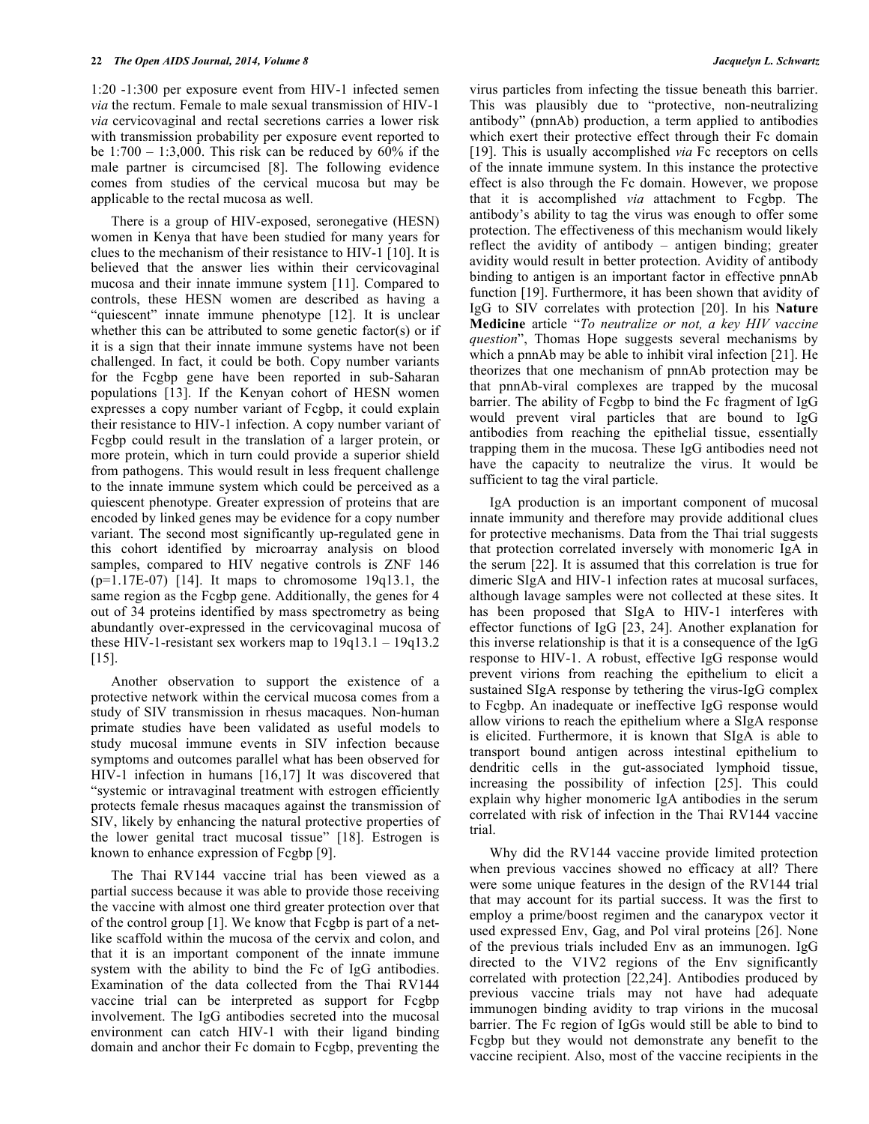1:20 -1:300 per exposure event from HIV-1 infected semen *via* the rectum. Female to male sexual transmission of HIV-1 *via* cervicovaginal and rectal secretions carries a lower risk with transmission probability per exposure event reported to be  $1:700 - 1:3,000$ . This risk can be reduced by  $60\%$  if the male partner is circumcised [8]. The following evidence comes from studies of the cervical mucosa but may be applicable to the rectal mucosa as well.

There is a group of HIV-exposed, seronegative (HESN) women in Kenya that have been studied for many years for clues to the mechanism of their resistance to HIV-1 [10]. It is believed that the answer lies within their cervicovaginal mucosa and their innate immune system [11]. Compared to controls, these HESN women are described as having a "quiescent" innate immune phenotype [12]. It is unclear whether this can be attributed to some genetic factor(s) or if it is a sign that their innate immune systems have not been challenged. In fact, it could be both. Copy number variants for the Fcgbp gene have been reported in sub-Saharan populations [13]. If the Kenyan cohort of HESN women expresses a copy number variant of Fcgbp, it could explain their resistance to HIV-1 infection. A copy number variant of Fcgbp could result in the translation of a larger protein, or more protein, which in turn could provide a superior shield from pathogens. This would result in less frequent challenge to the innate immune system which could be perceived as a quiescent phenotype. Greater expression of proteins that are encoded by linked genes may be evidence for a copy number variant. The second most significantly up-regulated gene in this cohort identified by microarray analysis on blood samples, compared to HIV negative controls is ZNF 146  $(p=1.17E-07)$  [14]. It maps to chromosome 19q13.1, the same region as the Fcgbp gene. Additionally, the genes for 4 out of 34 proteins identified by mass spectrometry as being abundantly over-expressed in the cervicovaginal mucosa of these HIV-1-resistant sex workers map to 19q13.1 – 19q13.2 [15].

Another observation to support the existence of a protective network within the cervical mucosa comes from a study of SIV transmission in rhesus macaques. Non-human primate studies have been validated as useful models to study mucosal immune events in SIV infection because symptoms and outcomes parallel what has been observed for HIV-1 infection in humans [16,17] It was discovered that "systemic or intravaginal treatment with estrogen efficiently protects female rhesus macaques against the transmission of SIV, likely by enhancing the natural protective properties of the lower genital tract mucosal tissue" [18]. Estrogen is known to enhance expression of Fcgbp [9].

The Thai RV144 vaccine trial has been viewed as a partial success because it was able to provide those receiving the vaccine with almost one third greater protection over that of the control group [1]. We know that Fcgbp is part of a netlike scaffold within the mucosa of the cervix and colon, and that it is an important component of the innate immune system with the ability to bind the Fc of IgG antibodies. Examination of the data collected from the Thai RV144 vaccine trial can be interpreted as support for Fcgbp involvement. The IgG antibodies secreted into the mucosal environment can catch HIV-1 with their ligand binding domain and anchor their Fc domain to Fcgbp, preventing the

virus particles from infecting the tissue beneath this barrier. This was plausibly due to "protective, non-neutralizing antibody" (pnnAb) production, a term applied to antibodies which exert their protective effect through their Fc domain [19]. This is usually accomplished *via* Fc receptors on cells of the innate immune system. In this instance the protective effect is also through the Fc domain. However, we propose that it is accomplished *via* attachment to Fcgbp. The antibody's ability to tag the virus was enough to offer some protection. The effectiveness of this mechanism would likely reflect the avidity of antibody – antigen binding; greater avidity would result in better protection. Avidity of antibody binding to antigen is an important factor in effective pnnAb function [19]. Furthermore, it has been shown that avidity of IgG to SIV correlates with protection [20]. In his **Nature Medicine** article "*To neutralize or not, a key HIV vaccine question*", Thomas Hope suggests several mechanisms by which a pnnAb may be able to inhibit viral infection [21]. He theorizes that one mechanism of pnnAb protection may be that pnnAb-viral complexes are trapped by the mucosal barrier. The ability of Fcgbp to bind the Fc fragment of IgG would prevent viral particles that are bound to IgG antibodies from reaching the epithelial tissue, essentially trapping them in the mucosa. These IgG antibodies need not have the capacity to neutralize the virus. It would be sufficient to tag the viral particle.

IgA production is an important component of mucosal innate immunity and therefore may provide additional clues for protective mechanisms. Data from the Thai trial suggests that protection correlated inversely with monomeric IgA in the serum [22]. It is assumed that this correlation is true for dimeric SIgA and HIV-1 infection rates at mucosal surfaces, although lavage samples were not collected at these sites. It has been proposed that SIgA to HIV-1 interferes with effector functions of IgG [23, 24]. Another explanation for this inverse relationship is that it is a consequence of the IgG response to HIV-1. A robust, effective IgG response would prevent virions from reaching the epithelium to elicit a sustained SIgA response by tethering the virus-IgG complex to Fcgbp. An inadequate or ineffective IgG response would allow virions to reach the epithelium where a SIgA response is elicited. Furthermore, it is known that SIgA is able to transport bound antigen across intestinal epithelium to dendritic cells in the gut-associated lymphoid tissue, increasing the possibility of infection [25]. This could explain why higher monomeric IgA antibodies in the serum correlated with risk of infection in the Thai RV144 vaccine trial.

Why did the RV144 vaccine provide limited protection when previous vaccines showed no efficacy at all? There were some unique features in the design of the RV144 trial that may account for its partial success. It was the first to employ a prime/boost regimen and the canarypox vector it used expressed Env, Gag, and Pol viral proteins [26]. None of the previous trials included Env as an immunogen. IgG directed to the V1V2 regions of the Env significantly correlated with protection [22,24]. Antibodies produced by previous vaccine trials may not have had adequate immunogen binding avidity to trap virions in the mucosal barrier. The Fc region of IgGs would still be able to bind to Fcgbp but they would not demonstrate any benefit to the vaccine recipient. Also, most of the vaccine recipients in the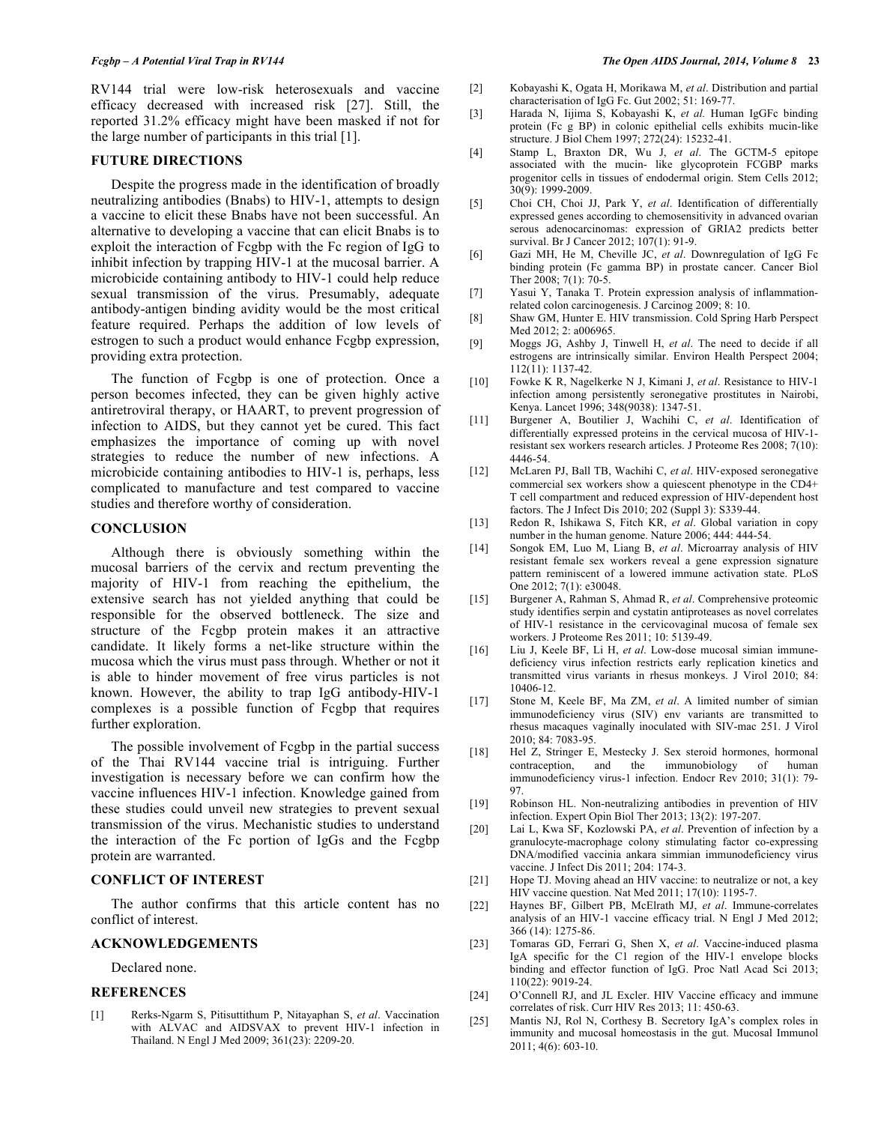RV144 trial were low-risk heterosexuals and vaccine efficacy decreased with increased risk [27]. Still, the reported 31.2% efficacy might have been masked if not for the large number of participants in this trial [1].

#### **FUTURE DIRECTIONS**

Despite the progress made in the identification of broadly neutralizing antibodies (Bnabs) to HIV-1, attempts to design a vaccine to elicit these Bnabs have not been successful. An alternative to developing a vaccine that can elicit Bnabs is to exploit the interaction of Fcgbp with the Fc region of IgG to inhibit infection by trapping HIV-1 at the mucosal barrier. A microbicide containing antibody to HIV-1 could help reduce sexual transmission of the virus. Presumably, adequate antibody-antigen binding avidity would be the most critical feature required. Perhaps the addition of low levels of estrogen to such a product would enhance Fcgbp expression, providing extra protection.

The function of Fcgbp is one of protection. Once a person becomes infected, they can be given highly active antiretroviral therapy, or HAART, to prevent progression of infection to AIDS, but they cannot yet be cured. This fact emphasizes the importance of coming up with novel strategies to reduce the number of new infections. A microbicide containing antibodies to HIV-1 is, perhaps, less complicated to manufacture and test compared to vaccine studies and therefore worthy of consideration.

### **CONCLUSION**

Although there is obviously something within the mucosal barriers of the cervix and rectum preventing the majority of HIV-1 from reaching the epithelium, the extensive search has not yielded anything that could be responsible for the observed bottleneck. The size and structure of the Fcgbp protein makes it an attractive candidate. It likely forms a net-like structure within the mucosa which the virus must pass through. Whether or not it is able to hinder movement of free virus particles is not known. However, the ability to trap IgG antibody-HIV-1 complexes is a possible function of Fcgbp that requires further exploration.

The possible involvement of Fcgbp in the partial success of the Thai RV144 vaccine trial is intriguing. Further investigation is necessary before we can confirm how the vaccine influences HIV-1 infection. Knowledge gained from these studies could unveil new strategies to prevent sexual transmission of the virus. Mechanistic studies to understand the interaction of the Fc portion of IgGs and the Fcgbp protein are warranted.

#### **CONFLICT OF INTEREST**

The author confirms that this article content has no conflict of interest.

#### **ACKNOWLEDGEMENTS**

Declared none.

### **REFERENCES**

[1] Rerks-Ngarm S, Pitisuttithum P, Nitayaphan S, *et al*. Vaccination with ALVAC and AIDSVAX to prevent HIV-1 infection in Thailand. N Engl J Med 2009; 361(23): 2209-20.

- [2] Kobayashi K, Ogata H, Morikawa M, *et al*. Distribution and partial characterisation of IgG Fc. Gut 2002; 51: 169-77.
- [3] Harada N, Iijima S, Kobayashi K, *et al.* Human IgGFc binding protein (Fc g BP) in colonic epithelial cells exhibits mucin-like structure. J Biol Chem 1997; 272(24): 15232-41.
- [4] Stamp L, Braxton DR, Wu J, *et al*. The GCTM-5 epitope associated with the mucin- like glycoprotein FCGBP marks progenitor cells in tissues of endodermal origin. Stem Cells 2012; 30(9): 1999-2009.
- [5] Choi CH, Choi JJ, Park Y, *et al*. Identification of differentially expressed genes according to chemosensitivity in advanced ovarian serous adenocarcinomas: expression of GRIA2 predicts better survival. Br J Cancer 2012; 107(1): 91-9.
- [6] Gazi MH, He M, Cheville JC, *et al*. Downregulation of IgG Fc binding protein (Fc gamma BP) in prostate cancer. Cancer Biol Ther 2008; 7(1): 70-5.
- [7] Yasui Y, Tanaka T. Protein expression analysis of inflammationrelated colon carcinogenesis. J Carcinog 2009; 8: 10.
- [8] Shaw GM, Hunter E. HIV transmission. Cold Spring Harb Perspect Med 2012; 2: a006965.
- [9] Moggs JG, Ashby J, Tinwell H, *et al*. The need to decide if all estrogens are intrinsically similar. Environ Health Perspect 2004; 112(11): 1137-42.
- [10] Fowke K R, Nagelkerke N J, Kimani J, *et al*. Resistance to HIV-1 infection among persistently seronegative prostitutes in Nairobi, Kenya. Lancet 1996; 348(9038): 1347-51.
- [11] Burgener A, Boutilier J, Wachihi C, *et al*. Identification of differentially expressed proteins in the cervical mucosa of HIV-1 resistant sex workers research articles. J Proteome Res 2008; 7(10): 4446-54.
- [12] McLaren PJ, Ball TB, Wachihi C, *et al*. HIV-exposed seronegative commercial sex workers show a quiescent phenotype in the CD4+ T cell compartment and reduced expression of HIV-dependent host factors. The J Infect Dis 2010; 202 (Suppl 3): S339-44.
- [13] Redon R, Ishikawa S, Fitch KR, *et al*. Global variation in copy number in the human genome. Nature 2006; 444: 444-54.
- [14] Songok EM, Luo M, Liang B, *et al*. Microarray analysis of HIV resistant female sex workers reveal a gene expression signature pattern reminiscent of a lowered immune activation state. PLoS One 2012; 7(1): e30048.
- [15] Burgener A, Rahman S, Ahmad R, *et al*. Comprehensive proteomic study identifies serpin and cystatin antiproteases as novel correlates of HIV-1 resistance in the cervicovaginal mucosa of female sex workers. J Proteome Res 2011; 10: 5139-49.
- [16] Liu J, Keele BF, Li H, *et al*. Low-dose mucosal simian immunedeficiency virus infection restricts early replication kinetics and transmitted virus variants in rhesus monkeys. J Virol 2010; 84: 10406-12.
- [17] Stone M, Keele BF, Ma ZM, *et al*. A limited number of simian immunodeficiency virus (SIV) env variants are transmitted to rhesus macaques vaginally inoculated with SIV-mac 251. J Virol 2010; 84: 7083-95.
- [18] Hel Z, Stringer E, Mestecky J. Sex steroid hormones, hormonal contraception, and the immunobiology of human immunodeficiency virus-1 infection. Endocr Rev 2010; 31(1): 79- 97.
- [19] Robinson HL. Non-neutralizing antibodies in prevention of HIV infection. Expert Opin Biol Ther 2013; 13(2): 197-207.
- [20] Lai L, Kwa SF, Kozlowski PA, *et al*. Prevention of infection by a granulocyte-macrophage colony stimulating factor co-expressing DNA/modified vaccinia ankara simmian immunodeficiency virus vaccine. J Infect Dis 2011; 204: 174-3.
- [21] Hope TJ. Moving ahead an HIV vaccine: to neutralize or not, a key HIV vaccine question. Nat Med 2011; 17(10): 1195-7.
- [22] Haynes BF, Gilbert PB, McElrath MJ, *et al*. Immune-correlates analysis of an HIV-1 vaccine efficacy trial. N Engl J Med 2012; 366 (14): 1275-86.
- [23] Tomaras GD, Ferrari G, Shen X, *et al*. Vaccine-induced plasma IgA specific for the C1 region of the HIV-1 envelope blocks binding and effector function of IgG. Proc Natl Acad Sci 2013; 110(22): 9019-24.
- [24] O'Connell RJ, and JL Excler. HIV Vaccine efficacy and immune correlates of risk. Curr HIV Res 2013; 11: 450-63.
- [25] Mantis NJ, Rol N, Corthesy B. Secretory IgA's complex roles in immunity and mucosal homeostasis in the gut. Mucosal Immunol 2011; 4(6): 603-10.